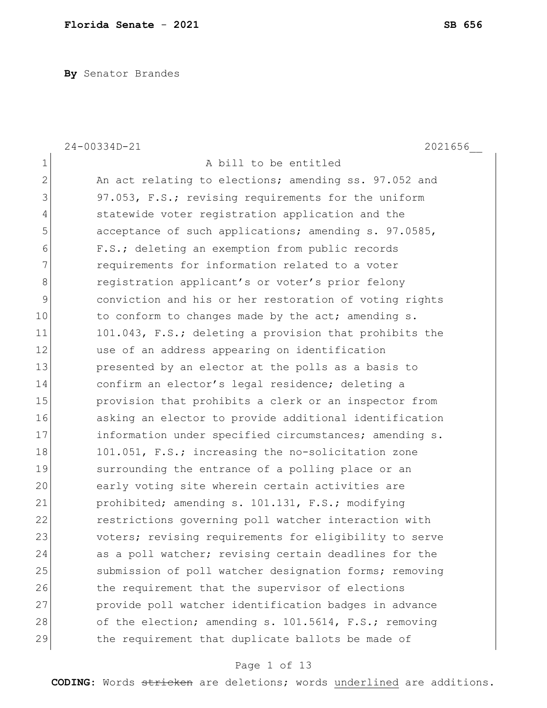**By** Senator Brandes

|                | 24-00334D-21<br>2021656                                |
|----------------|--------------------------------------------------------|
| $\mathbf 1$    | A bill to be entitled                                  |
| $\overline{2}$ | An act relating to elections; amending ss. 97.052 and  |
| 3              | 97.053, F.S.; revising requirements for the uniform    |
| 4              | statewide voter registration application and the       |
| 5              | acceptance of such applications; amending s. 97.0585,  |
| 6              | F.S.; deleting an exemption from public records        |
| 7              | requirements for information related to a voter        |
| 8              | registration applicant's or voter's prior felony       |
| 9              | conviction and his or her restoration of voting rights |
| 10             | to conform to changes made by the act; amending s.     |
| 11             | 101.043, F.S.; deleting a provision that prohibits the |
| 12             | use of an address appearing on identification          |
| 13             | presented by an elector at the polls as a basis to     |
| 14             | confirm an elector's legal residence; deleting a       |
| 15             | provision that prohibits a clerk or an inspector from  |
| 16             | asking an elector to provide additional identification |
| 17             | information under specified circumstances; amending s. |
| 18             | 101.051, F.S.; increasing the no-solicitation zone     |
| 19             | surrounding the entrance of a polling place or an      |
| 20             | early voting site wherein certain activities are       |
| 21             | prohibited; amending s. 101.131, F.S.; modifying       |
| 22             | restrictions governing poll watcher interaction with   |
| 23             | voters; revising requirements for eligibility to serve |
| 24             | as a poll watcher; revising certain deadlines for the  |
| 25             | submission of poll watcher designation forms; removing |
| 26             | the requirement that the supervisor of elections       |
| 27             | provide poll watcher identification badges in advance  |
| 28             | of the election; amending s. 101.5614, F.S.; removing  |
| 29             | the requirement that duplicate ballots be made of      |

# Page 1 of 13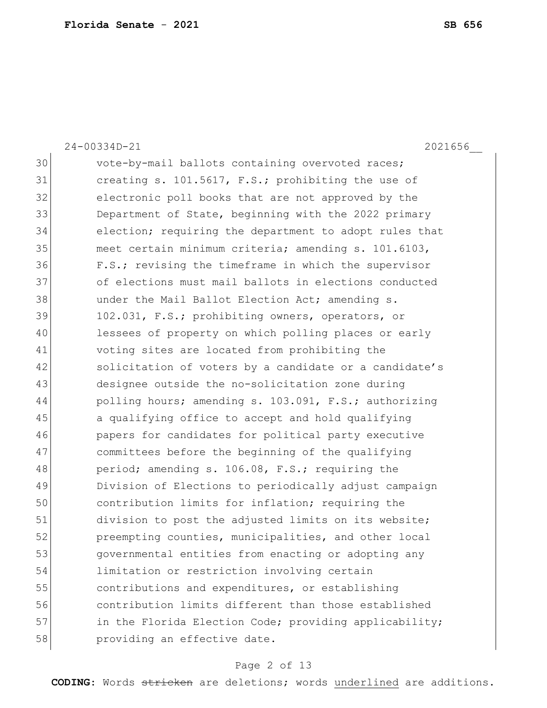|    | 2021656<br>$24 - 00334D - 21$                          |
|----|--------------------------------------------------------|
| 30 | vote-by-mail ballots containing overvoted races;       |
| 31 | creating s. 101.5617, F.S.; prohibiting the use of     |
| 32 | electronic poll books that are not approved by the     |
| 33 | Department of State, beginning with the 2022 primary   |
| 34 | election; requiring the department to adopt rules that |
| 35 | meet certain minimum criteria; amending s. 101.6103,   |
| 36 | F.S.; revising the timeframe in which the supervisor   |
| 37 | of elections must mail ballots in elections conducted  |
| 38 | under the Mail Ballot Election Act; amending s.        |
| 39 | 102.031, F.S.; prohibiting owners, operators, or       |
| 40 | lessees of property on which polling places or early   |
| 41 | voting sites are located from prohibiting the          |
| 42 | solicitation of voters by a candidate or a candidate's |
| 43 | designee outside the no-solicitation zone during       |
| 44 | polling hours; amending s. 103.091, F.S.; authorizing  |
| 45 | a qualifying office to accept and hold qualifying      |
| 46 | papers for candidates for political party executive    |
| 47 | committees before the beginning of the qualifying      |
| 48 | period; amending s. 106.08, F.S.; requiring the        |
| 49 | Division of Elections to periodically adjust campaign  |
| 50 | contribution limits for inflation; requiring the       |
| 51 | division to post the adjusted limits on its website;   |
| 52 | preempting counties, municipalities, and other local   |
| 53 | governmental entities from enacting or adopting any    |
| 54 | limitation or restriction involving certain            |
| 55 | contributions and expenditures, or establishing        |
| 56 | contribution limits different than those established   |
| 57 | in the Florida Election Code; providing applicability; |
| 58 | providing an effective date.                           |

# Page 2 of 13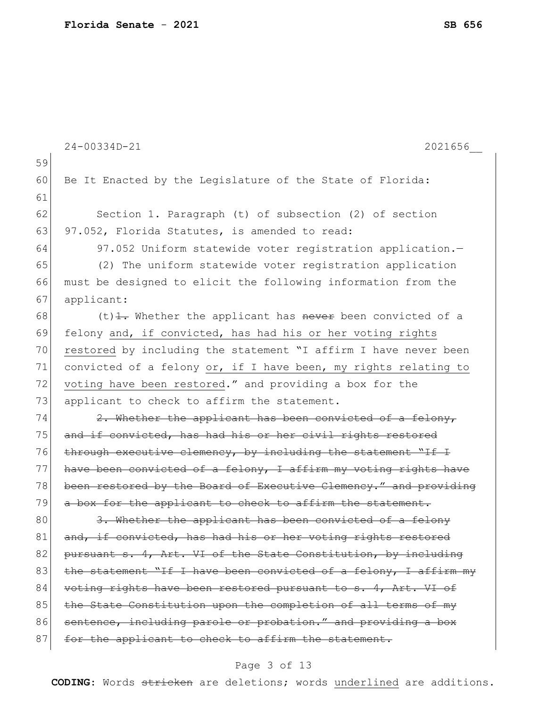|    | 24-00334D-21<br>2021656                                          |
|----|------------------------------------------------------------------|
| 59 |                                                                  |
| 60 | Be It Enacted by the Legislature of the State of Florida:        |
| 61 |                                                                  |
| 62 | Section 1. Paragraph (t) of subsection (2) of section            |
| 63 | 97.052, Florida Statutes, is amended to read:                    |
| 64 | 97.052 Uniform statewide voter registration application.-        |
| 65 | (2) The uniform statewide voter registration application         |
| 66 | must be designed to elicit the following information from the    |
| 67 | applicant:                                                       |
| 68 | $(t)$ +. Whether the applicant has never been convicted of a     |
| 69 | felony and, if convicted, has had his or her voting rights       |
| 70 | restored by including the statement "I affirm I have never been  |
| 71 | convicted of a felony or, if I have been, my rights relating to  |
| 72 | voting have been restored." and providing a box for the          |
| 73 | applicant to check to affirm the statement.                      |
| 74 | 2. Whether the applicant has been convicted of a felony,         |
| 75 | and if convicted, has had his or her civil rights restored       |
| 76 | through executive clemency, by including the statement "If I     |
| 77 | have been convicted of a felony, I affirm my voting rights have  |
| 78 | been restored by the Board of Executive Clemency." and providing |
| 79 | a box for the applicant to check to affirm the statement.        |
| 80 | 3. Whether the applicant has been convicted of a felony          |
| 81 | and, if convicted, has had his or her voting rights restored     |
| 82 | pursuant s. 4, Art. VI of the State Constitution, by including   |
| 83 | the statement "If I have been convicted of a felony, I affirm my |
| 84 | voting rights have been restored pursuant to s. 4, Art. VI of    |
| 85 | the State Constitution upon the completion of all terms of my    |
| 86 | sentence, including parole or probation." and providing a box    |
| 87 | for the applicant to check to affirm the statement.              |
|    |                                                                  |

# Page 3 of 13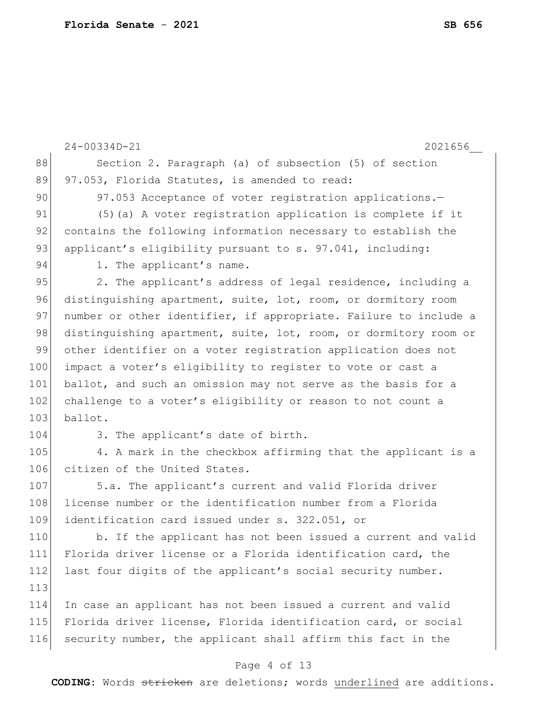|     | 2021656<br>$24 - 00334D - 21$                                    |
|-----|------------------------------------------------------------------|
| 88  | Section 2. Paragraph (a) of subsection (5) of section            |
| 89  | 97.053, Florida Statutes, is amended to read:                    |
| 90  | 97.053 Acceptance of voter registration applications.-           |
| 91  | (5) (a) A voter registration application is complete if it       |
| 92  | contains the following information necessary to establish the    |
| 93  | applicant's eligibility pursuant to s. 97.041, including:        |
| 94  | 1. The applicant's name.                                         |
| 95  | 2. The applicant's address of legal residence, including a       |
| 96  | distinguishing apartment, suite, lot, room, or dormitory room    |
| 97  | number or other identifier, if appropriate. Failure to include a |
| 98  | distinguishing apartment, suite, lot, room, or dormitory room or |
| 99  | other identifier on a voter registration application does not    |
| 100 | impact a voter's eligibility to register to vote or cast a       |
| 101 | ballot, and such an omission may not serve as the basis for a    |
| 102 | challenge to a voter's eligibility or reason to not count a      |
| 103 | ballot.                                                          |
| 104 | 3. The applicant's date of birth.                                |
| 105 | 4. A mark in the checkbox affirming that the applicant is a      |
| 106 | citizen of the United States.                                    |
| 107 | 5.a. The applicant's current and valid Florida driver            |
| 108 | license number or the identification number from a Florida       |
| 109 | identification card issued under s. 322.051, or                  |
| 110 | b. If the applicant has not been issued a current and valid      |
| 111 | Florida driver license or a Florida identification card, the     |
| 112 | last four digits of the applicant's social security number.      |
| 113 |                                                                  |
| 114 | In case an applicant has not been issued a current and valid     |
| 115 | Florida driver license, Florida identification card, or social   |
| 116 | security number, the applicant shall affirm this fact in the     |
|     |                                                                  |

# Page 4 of 13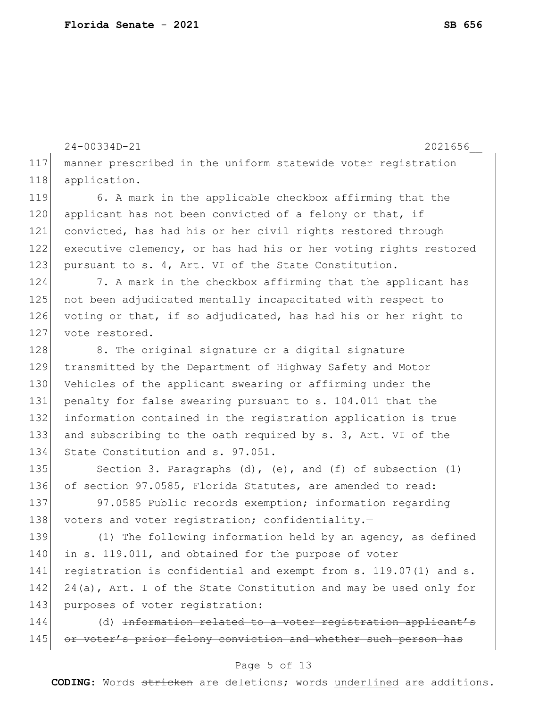|     | 24-00334D-21<br>2021656                                             |
|-----|---------------------------------------------------------------------|
| 117 | manner prescribed in the uniform statewide voter registration       |
| 118 | application.                                                        |
| 119 | 6. A mark in the applicable checkbox affirming that the             |
| 120 | applicant has not been convicted of a felony or that, if            |
| 121 | convicted, has had his or her civil rights restored through         |
| 122 | executive clemency, or has had his or her voting rights restored    |
| 123 | pursuant to s. 4, Art. VI of the State Constitution.                |
| 124 | 7. A mark in the checkbox affirming that the applicant has          |
| 125 | not been adjudicated mentally incapacitated with respect to         |
| 126 | voting or that, if so adjudicated, has had his or her right to      |
| 127 | vote restored.                                                      |
| 128 | 8. The original signature or a digital signature                    |
| 129 | transmitted by the Department of Highway Safety and Motor           |
| 130 | Vehicles of the applicant swearing or affirming under the           |
| 131 | penalty for false swearing pursuant to s. 104.011 that the          |
| 132 | information contained in the registration application is true       |
| 133 | and subscribing to the oath required by s. 3, Art. VI of the        |
| 134 | State Constitution and s. 97.051.                                   |
| 135 | Section 3. Paragraphs $(d)$ , $(e)$ , and $(f)$ of subsection $(1)$ |
| 136 | of section 97.0585, Florida Statutes, are amended to read:          |
| 137 | 97.0585 Public records exemption; information regarding             |
| 138 | voters and voter registration; confidentiality.-                    |
| 139 | (1) The following information held by an agency, as defined         |
| 140 | in s. 119.011, and obtained for the purpose of voter                |
| 141 | registration is confidential and exempt from s. 119.07(1) and s.    |
| 142 | 24(a), Art. I of the State Constitution and may be used only for    |
| 143 | purposes of voter registration:                                     |
| 144 | (d) Information related to a voter registration applicant's         |
| 145 | or voter's prior felony conviction and whether such person has      |

# Page 5 of 13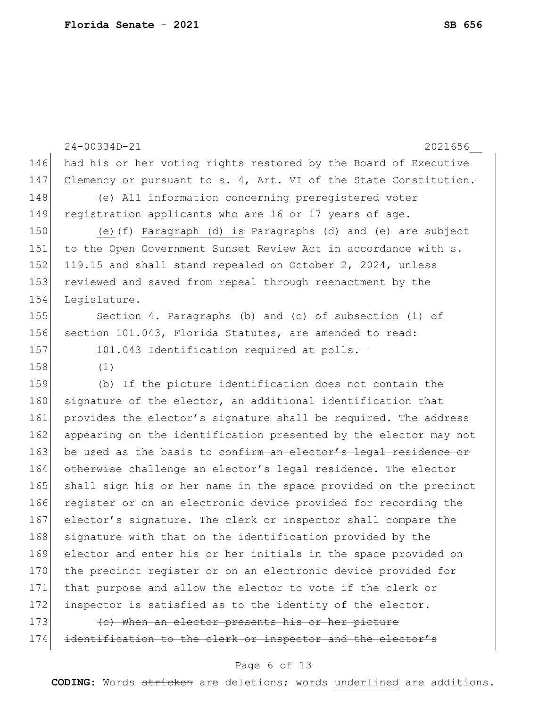|     | $24 - 00334D - 21$<br>2021656                                    |
|-----|------------------------------------------------------------------|
| 146 | had his or her voting rights restored by the Board of Executive  |
| 147 | Clemency or pursuant to s. 4, Art. VI of the State Constitution. |
| 148 | (e) All information concerning preregistered voter               |
| 149 | registration applicants who are 16 or 17 years of age.           |
| 150 | (e) $(f)$ Paragraph (d) is Paragraphs (d) and (e) are subject    |
| 151 | to the Open Government Sunset Review Act in accordance with s.   |
| 152 | 119.15 and shall stand repealed on October 2, 2024, unless       |
| 153 | reviewed and saved from repeal through reenactment by the        |
| 154 | Legislature.                                                     |
| 155 | Section 4. Paragraphs (b) and (c) of subsection (1) of           |
| 156 | section 101.043, Florida Statutes, are amended to read:          |
| 157 | 101.043 Identification required at polls.-                       |
| 158 | (1)                                                              |
| 159 | (b) If the picture identification does not contain the           |
| 160 | signature of the elector, an additional identification that      |
| 161 | provides the elector's signature shall be required. The address  |
| 162 | appearing on the identification presented by the elector may not |
| 163 | be used as the basis to confirm an elector's legal residence or  |
| 164 | otherwise challenge an elector's legal residence. The elector    |
| 165 | shall sign his or her name in the space provided on the precinct |
| 166 | register or on an electronic device provided for recording the   |
| 167 | elector's signature. The clerk or inspector shall compare the    |
| 168 | signature with that on the identification provided by the        |
| 169 | elector and enter his or her initials in the space provided on   |
| 170 | the precinct register or on an electronic device provided for    |
| 171 | that purpose and allow the elector to vote if the clerk or       |
| 172 | inspector is satisfied as to the identity of the elector.        |
| 173 | (c) When an elector presents his or her picture                  |
| 174 | identification to the clerk or inspector and the elector's       |
|     |                                                                  |

# Page 6 of 13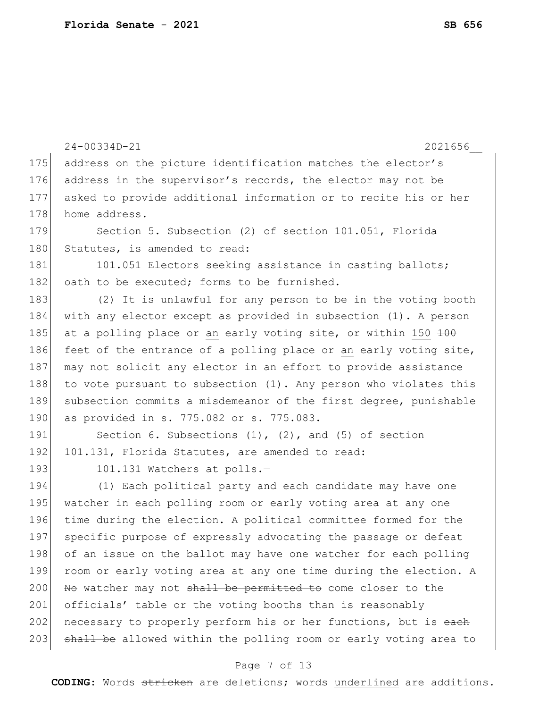24-00334D-21 2021656\_\_ 175 address on the picture identification matches the elector's 176 address in the supervisor's records, the elector may not be 177 asked to provide additional information or to recite his or her 178 home address. 179 Section 5. Subsection (2) of section 101.051, Florida 180 Statutes, is amended to read: 181 101.051 Electors seeking assistance in casting ballots; 182 oath to be executed; forms to be furnished. $-$ 183 (2) It is unlawful for any person to be in the voting booth 184 with any elector except as provided in subsection (1). A person 185 at a polling place or an early voting site, or within 150  $\frac{100}{100}$ 186 feet of the entrance of a polling place or an early voting site, 187 may not solicit any elector in an effort to provide assistance 188 to vote pursuant to subsection  $(1)$ . Any person who violates this 189 subsection commits a misdemeanor of the first degree, punishable 190 as provided in s. 775.082 or s. 775.083. 191 Section 6. Subsections (1), (2), and (5) of section 192 101.131, Florida Statutes, are amended to read: 193 101.131 Watchers at polls.-194 (1) Each political party and each candidate may have one 195 watcher in each polling room or early voting area at any one 196 time during the election. A political committee formed for the 197 specific purpose of expressly advocating the passage or defeat 198 of an issue on the ballot may have one watcher for each polling 199 room or early voting area at any one time during the election. A  $200$  No watcher may not shall be permitted to come closer to the 201 officials' table or the voting booths than is reasonably 202 necessary to properly perform his or her functions, but is each 203 shall be allowed within the polling room or early voting area to

### Page 7 of 13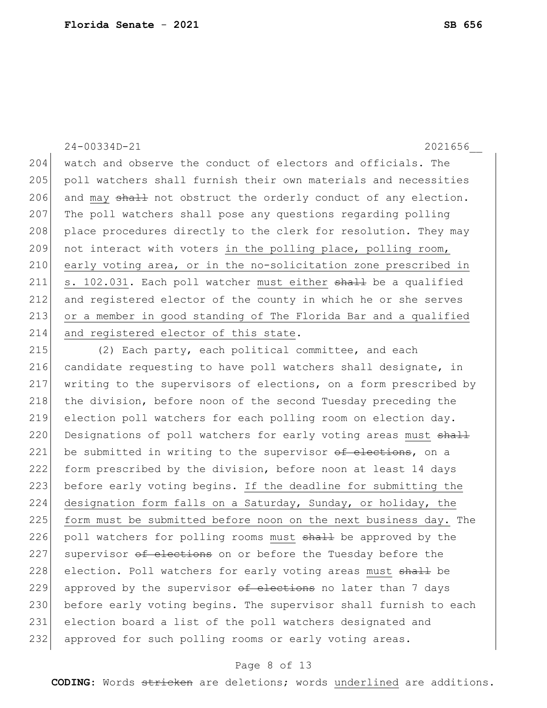204 watch and observe the conduct of electors and officials. The 205 poll watchers shall furnish their own materials and necessities 206 and may  $\frac{1}{2}$  not obstruct the orderly conduct of any election. 207 The poll watchers shall pose any questions regarding polling 208 | place procedures directly to the clerk for resolution. They may 209 not interact with voters in the polling place, polling room, 210 early voting area, or in the no-solicitation zone prescribed in 211 s. 102.031. Each poll watcher must either shall be a qualified 212 and registered elector of the county in which he or she serves 213 or a member in good standing of The Florida Bar and a qualified 214 and registered elector of this state.

24-00334D-21 2021656\_\_

215 (2) Each party, each political committee, and each 216 candidate requesting to have poll watchers shall designate, in 217 writing to the supervisors of elections, on a form prescribed by 218 the division, before noon of the second Tuesday preceding the 219 election poll watchers for each polling room on election day. 220 Designations of poll watchers for early voting areas must shall 221 be submitted in writing to the supervisor of elections, on a 222 form prescribed by the division, before noon at least 14 days 223 before early voting begins. If the deadline for submitting the 224 designation form falls on a Saturday, Sunday, or holiday, the 225 form must be submitted before noon on the next business day. The 226 poll watchers for polling rooms must shall be approved by the 227 supervisor of elections on or before the Tuesday before the 228 election. Poll watchers for early voting areas must shall be 229 approved by the supervisor  $ef$  elections no later than 7 days 230 before early voting begins. The supervisor shall furnish to each 231 election board a list of the poll watchers designated and 232 approved for such polling rooms or early voting areas.

#### Page 8 of 13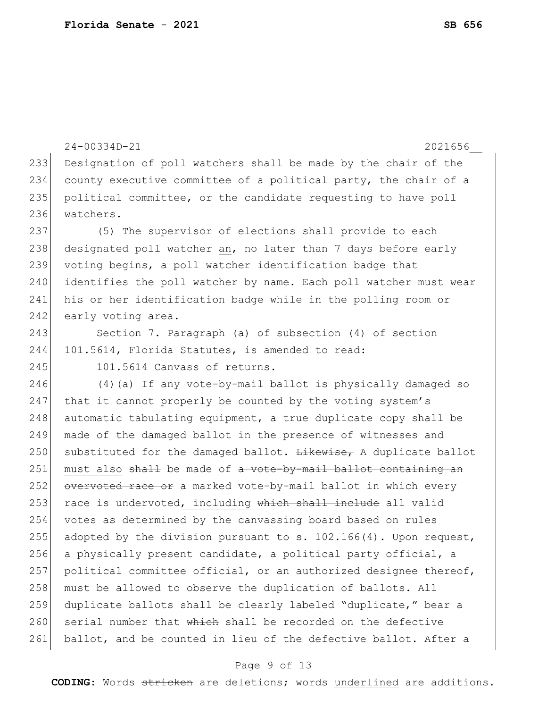```
24-00334D-21 2021656__
233 Designation of poll watchers shall be made by the chair of the 
234 county executive committee of a political party, the chair of a 
235 political committee, or the candidate requesting to have poll 
236 watchers.
237 (5) The supervisor of elections shall provide to each
238 designated poll watcher an, no later than 7 days before early
239 voting begins, a poll watcher identification badge that
240 identifies the poll watcher by name. Each poll watcher must wear
241 his or her identification badge while in the polling room or 
242 early voting area.
243 Section 7. Paragraph (a) of subsection (4) of section
244 101.5614, Florida Statutes, is amended to read:
245 101.5614 Canvass of returns.-
246 (4)(a) If any vote-by-mail ballot is physically damaged so 
247 that it cannot properly be counted by the voting system's
248 automatic tabulating equipment, a true duplicate copy shall be
249 made of the damaged ballot in the presence of witnesses and 
250 substituted for the damaged ballot. Likewise, A duplicate ballot
251 must also shall be made of a vote-by-mail ballot containing an
252 overvoted race or a marked vote-by-mail ballot in which every
253 race is undervoted, including which shall include all valid
254 votes as determined by the canvassing board based on rules 
255 adopted by the division pursuant to s. 102.166(4). Upon request,
256 a physically present candidate, a political party official, a 
257 | political committee official, or an authorized designee thereof,
258 must be allowed to observe the duplication of ballots. All
259 duplicate ballots shall be clearly labeled "duplicate," bear a
260 serial number that which shall be recorded on the defective
261 ballot, and be counted in lieu of the defective ballot. After a
```
#### Page 9 of 13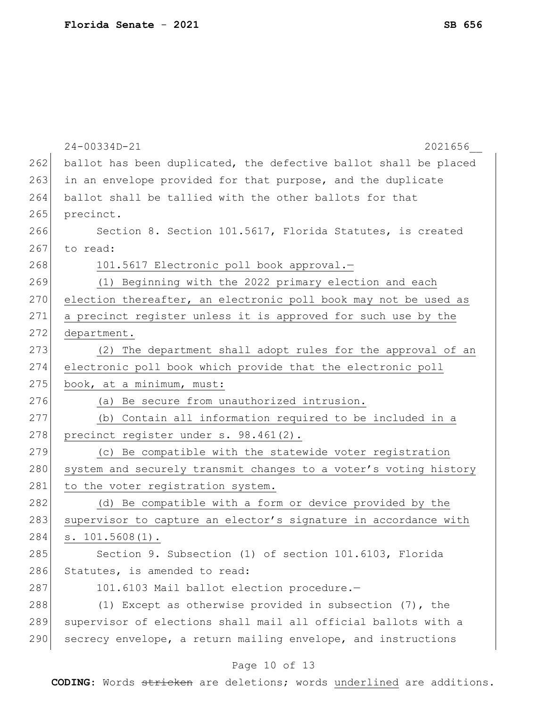|     | 24-00334D-21<br>2021656                                          |
|-----|------------------------------------------------------------------|
| 262 | ballot has been duplicated, the defective ballot shall be placed |
| 263 | in an envelope provided for that purpose, and the duplicate      |
| 264 | ballot shall be tallied with the other ballots for that          |
| 265 | precinct.                                                        |
| 266 | Section 8. Section 101.5617, Florida Statutes, is created        |
| 267 | to read:                                                         |
| 268 | 101.5617 Electronic poll book approval.-                         |
| 269 | (1) Beginning with the 2022 primary election and each            |
| 270 | election thereafter, an electronic poll book may not be used as  |
| 271 | a precinct register unless it is approved for such use by the    |
| 272 | department.                                                      |
| 273 | (2) The department shall adopt rules for the approval of an      |
| 274 | electronic poll book which provide that the electronic poll      |
| 275 | book, at a minimum, must:                                        |
| 276 | (a) Be secure from unauthorized intrusion.                       |
| 277 | (b) Contain all information required to be included in a         |
| 278 | precinct register under s. 98.461(2).                            |
| 279 | (c) Be compatible with the statewide voter registration          |
| 280 | system and securely transmit changes to a voter's voting history |
| 281 | to the voter registration system.                                |
| 282 | (d) Be compatible with a form or device provided by the          |
| 283 | supervisor to capture an elector's signature in accordance with  |
| 284 | $s. 101.5608(1)$ .                                               |
| 285 | Section 9. Subsection (1) of section 101.6103, Florida           |
| 286 | Statutes, is amended to read:                                    |
| 287 | 101.6103 Mail ballot election procedure.-                        |
| 288 | (1) Except as otherwise provided in subsection $(7)$ , the       |
| 289 | supervisor of elections shall mail all official ballots with a   |
| 290 | secrecy envelope, a return mailing envelope, and instructions    |
|     | Page 10 of 13                                                    |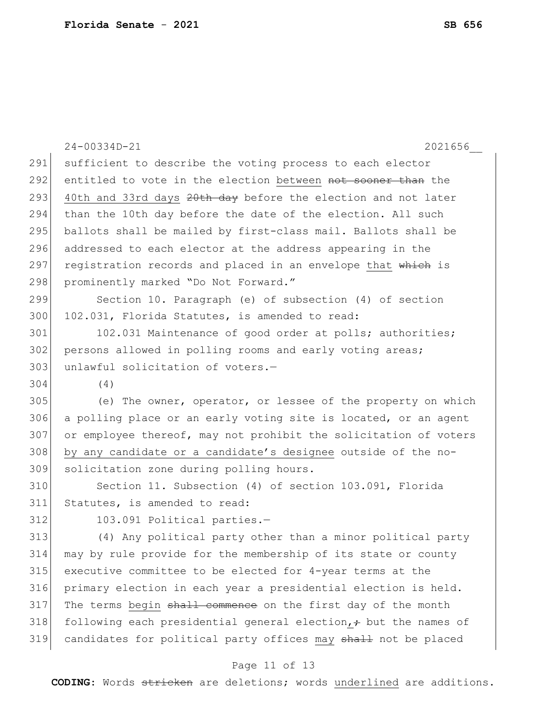|     | $24 - 00334D - 21$<br>2021656                                         |
|-----|-----------------------------------------------------------------------|
| 291 | sufficient to describe the voting process to each elector             |
| 292 | entitled to vote in the election between not sooner than the          |
| 293 | 40th and 33rd days 20th day before the election and not later         |
| 294 | than the 10th day before the date of the election. All such           |
| 295 | ballots shall be mailed by first-class mail. Ballots shall be         |
| 296 | addressed to each elector at the address appearing in the             |
| 297 | registration records and placed in an envelope that which is          |
| 298 | prominently marked "Do Not Forward."                                  |
| 299 | Section 10. Paragraph (e) of subsection (4) of section                |
| 300 | 102.031, Florida Statutes, is amended to read:                        |
| 301 | 102.031 Maintenance of good order at polls; authorities;              |
| 302 | persons allowed in polling rooms and early voting areas;              |
| 303 | unlawful solicitation of voters.-                                     |
| 304 | (4)                                                                   |
| 305 | (e) The owner, operator, or lessee of the property on which           |
| 306 | a polling place or an early voting site is located, or an agent       |
| 307 | or employee thereof, may not prohibit the solicitation of voters      |
| 308 | by any candidate or a candidate's designee outside of the no-         |
| 309 | solicitation zone during polling hours.                               |
| 310 | Section 11. Subsection (4) of section 103.091, Florida                |
| 311 | Statutes, is amended to read:                                         |
| 312 | 103.091 Political parties.-                                           |
| 313 | (4) Any political party other than a minor political party            |
| 314 | may by rule provide for the membership of its state or county         |
| 315 | executive committee to be elected for 4-year terms at the             |
| 316 | primary election in each year a presidential election is held.        |
| 317 | The terms begin shall commence on the first day of the month          |
| 318 | following each presidential general election, $\div$ but the names of |
| 319 | candidates for political party offices may shall not be placed        |

# Page 11 of 13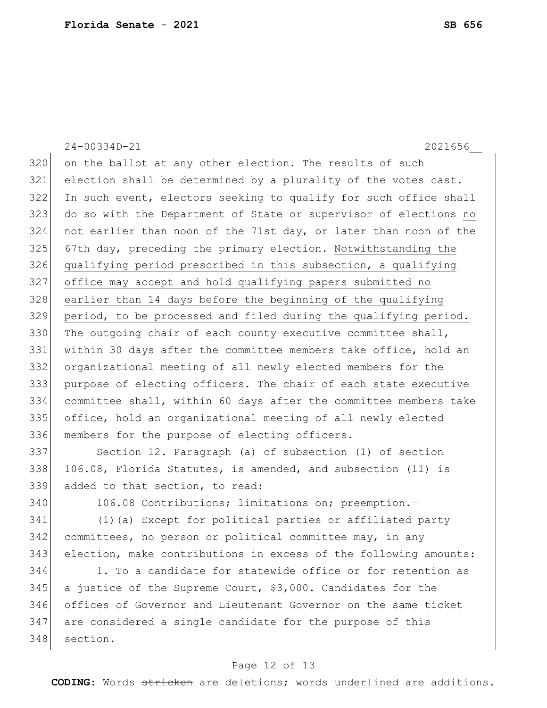24-00334D-21 2021656\_\_ on the ballot at any other election. The results of such election shall be determined by a plurality of the votes cast. In such event, electors seeking to qualify for such office shall do so with the Department of State or supervisor of elections no 324 not earlier than noon of the 71st day, or later than noon of the 67th day, preceding the primary election. Notwithstanding the qualifying period prescribed in this subsection, a qualifying office may accept and hold qualifying papers submitted no earlier than 14 days before the beginning of the qualifying period, to be processed and filed during the qualifying period. 330 The outgoing chair of each county executive committee shall, within 30 days after the committee members take office, hold an organizational meeting of all newly elected members for the purpose of electing officers. The chair of each state executive committee shall, within 60 days after the committee members take office, hold an organizational meeting of all newly elected 336 members for the purpose of electing officers. Section 12. Paragraph (a) of subsection (1) of section 106.08, Florida Statutes, is amended, and subsection (11) is added to that section, to read: 340 106.08 Contributions; limitations on; preemption. (1)(a) Except for political parties or affiliated party committees, no person or political committee may, in any election, make contributions in excess of the following amounts: 1. To a candidate for statewide office or for retention as

 a justice of the Supreme Court, \$3,000. Candidates for the offices of Governor and Lieutenant Governor on the same ticket 347 are considered a single candidate for the purpose of this section.

### Page 12 of 13